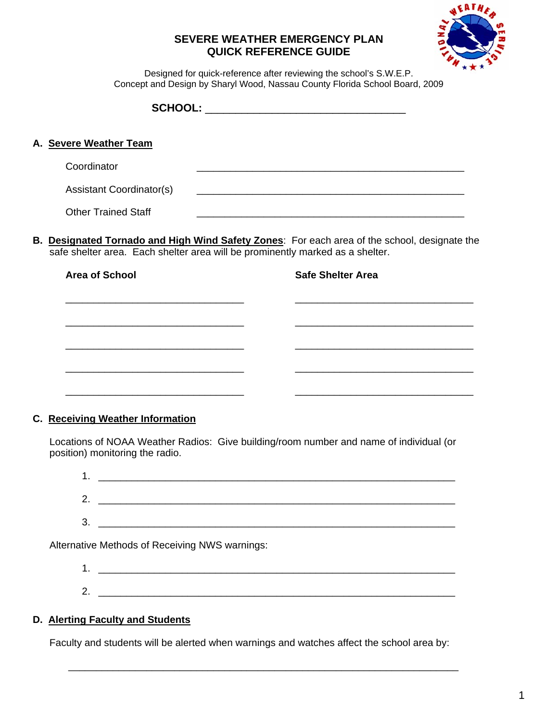## **SEVERE WEATHER EMERGENCY PLAN QUICK REFERENCE GUIDE**



Designed for quick-reference after reviewing the school's S.W.E.P. Concept and Design by Sharyl Wood, Nassau County Florida School Board, 2009

| A. Severe Weather Team                                                        |                                                                                                                |
|-------------------------------------------------------------------------------|----------------------------------------------------------------------------------------------------------------|
| Coordinator                                                                   |                                                                                                                |
| <b>Assistant Coordinator(s)</b>                                               |                                                                                                                |
| <b>Other Trained Staff</b>                                                    |                                                                                                                |
| safe shelter area. Each shelter area will be prominently marked as a shelter. | B. Designated Tornado and High Wind Safety Zones: For each area of the school, designate the                   |
| <b>Area of School</b>                                                         | <b>Safe Shelter Area</b>                                                                                       |
|                                                                               |                                                                                                                |
|                                                                               |                                                                                                                |
|                                                                               |                                                                                                                |
|                                                                               |                                                                                                                |
|                                                                               |                                                                                                                |
| <b>C. Receiving Weather Information</b>                                       |                                                                                                                |
|                                                                               | ومل امریزان بنام وزایم و موجود امور و مواجه بر موجود است است. این بار مواجه می امروز است ملک این این است است ا |

 Locations of NOAA Weather Radios: Give building/room number and name of individual (or position) monitoring the radio.

| . .     |  |
|---------|--|
| 2.      |  |
| ີ<br>v. |  |
|         |  |

Alternative Methods of Receiving NWS warnings:

 $1.$   $\Box$  $2.$ 

## **D. Alerting Faculty and Students**

Faculty and students will be alerted when warnings and watches affect the school area by:

 $\overline{\phantom{a}}$  , and the contribution of the contribution of the contribution of the contribution of the contribution of the contribution of the contribution of the contribution of the contribution of the contribution of the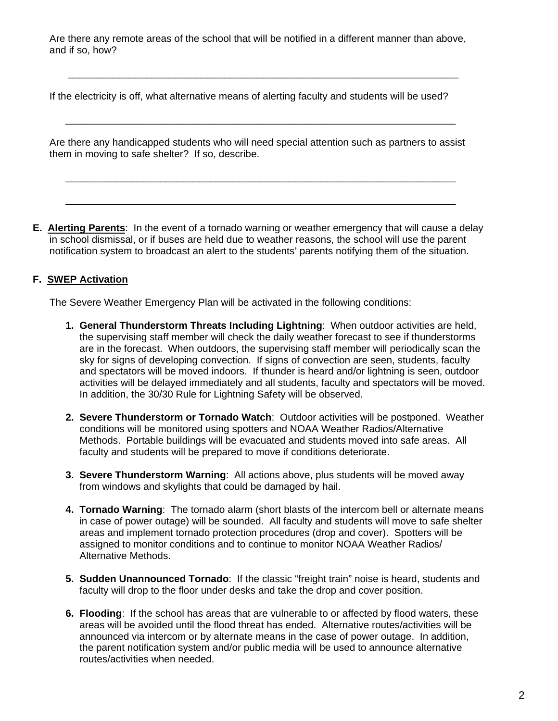Are there any remote areas of the school that will be notified in a different manner than above, and if so, how?

If the electricity is off, what alternative means of alerting faculty and students will be used?

\_\_\_\_\_\_\_\_\_\_\_\_\_\_\_\_\_\_\_\_\_\_\_\_\_\_\_\_\_\_\_\_\_\_\_\_\_\_\_\_\_\_\_\_\_\_\_\_\_\_\_\_\_\_\_\_\_\_\_\_\_\_\_\_\_\_\_\_\_\_

\_\_\_\_\_\_\_\_\_\_\_\_\_\_\_\_\_\_\_\_\_\_\_\_\_\_\_\_\_\_\_\_\_\_\_\_\_\_\_\_\_\_\_\_\_\_\_\_\_\_\_\_\_\_\_\_\_\_\_\_\_\_\_\_\_\_\_\_\_\_

 $\frac{1}{2}$  , and the contribution of the contribution of the contribution of the contribution of the contribution of the contribution of the contribution of the contribution of the contribution of the contribution of the c

\_\_\_\_\_\_\_\_\_\_\_\_\_\_\_\_\_\_\_\_\_\_\_\_\_\_\_\_\_\_\_\_\_\_\_\_\_\_\_\_\_\_\_\_\_\_\_\_\_\_\_\_\_\_\_\_\_\_\_\_\_\_\_\_\_\_\_\_\_\_

 Are there any handicapped students who will need special attention such as partners to assist them in moving to safe shelter? If so, describe.

**E. Alerting Parents**: In the event of a tornado warning or weather emergency that will cause a delay in school dismissal, or if buses are held due to weather reasons, the school will use the parent notification system to broadcast an alert to the students' parents notifying them of the situation.

## **F. SWEP Activation**

The Severe Weather Emergency Plan will be activated in the following conditions:

- **1. General Thunderstorm Threats Including Lightning**: When outdoor activities are held, the supervising staff member will check the daily weather forecast to see if thunderstorms are in the forecast. When outdoors, the supervising staff member will periodically scan the sky for signs of developing convection. If signs of convection are seen, students, faculty and spectators will be moved indoors. If thunder is heard and/or lightning is seen, outdoor activities will be delayed immediately and all students, faculty and spectators will be moved. In addition, the 30/30 Rule for Lightning Safety will be observed.
- **2. Severe Thunderstorm or Tornado Watch**: Outdoor activities will be postponed. Weather conditions will be monitored using spotters and NOAA Weather Radios/Alternative Methods. Portable buildings will be evacuated and students moved into safe areas. All faculty and students will be prepared to move if conditions deteriorate.
- **3. Severe Thunderstorm Warning**: All actions above, plus students will be moved away from windows and skylights that could be damaged by hail.
- **4. Tornado Warning**: The tornado alarm (short blasts of the intercom bell or alternate means in case of power outage) will be sounded. All faculty and students will move to safe shelter areas and implement tornado protection procedures (drop and cover). Spotters will be assigned to monitor conditions and to continue to monitor NOAA Weather Radios/ Alternative Methods.
- **5. Sudden Unannounced Tornado**: If the classic "freight train" noise is heard, students and faculty will drop to the floor under desks and take the drop and cover position.
- **6. Flooding**: If the school has areas that are vulnerable to or affected by flood waters, these areas will be avoided until the flood threat has ended. Alternative routes/activities will be announced via intercom or by alternate means in the case of power outage. In addition, the parent notification system and/or public media will be used to announce alternative routes/activities when needed.